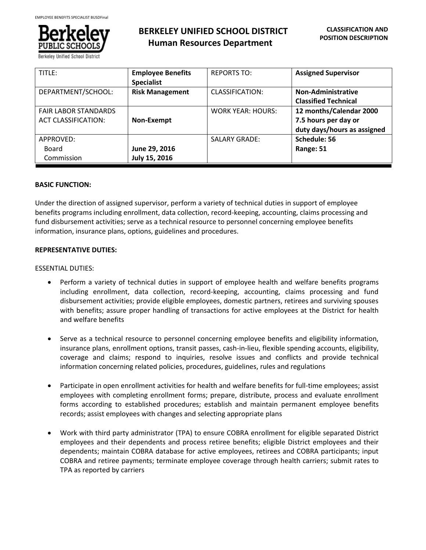

# **BERKELEY UNIFIED SCHOOL DISTRICT Human Resources Department**

| TITLE:                                                    | <b>Employee Benefits</b><br><b>Specialist</b> | <b>REPORTS TO:</b>   | <b>Assigned Supervisor</b>                                                     |
|-----------------------------------------------------------|-----------------------------------------------|----------------------|--------------------------------------------------------------------------------|
| DEPARTMENT/SCHOOL:                                        | <b>Risk Management</b>                        | CLASSIFICATION:      | Non-Administrative<br><b>Classified Technical</b>                              |
| <b>FAIR LABOR STANDARDS</b><br><b>ACT CLASSIFICATION:</b> | Non-Exempt                                    | WORK YEAR: HOURS:    | 12 months/Calendar 2000<br>7.5 hours per day or<br>duty days/hours as assigned |
| APPROVED:<br>Board<br>Commission                          | June 29, 2016<br>July 15, 2016                | <b>SALARY GRADE:</b> | Schedule: 56<br>Range: 51                                                      |

### **BASIC FUNCTION:**

Under the direction of assigned supervisor, perform a variety of technical duties in support of employee benefits programs including enrollment, data collection, record-keeping, accounting, claims processing and fund disbursement activities; serve as a technical resource to personnel concerning employee benefits information, insurance plans, options, guidelines and procedures.

#### **REPRESENTATIVE DUTIES:**

#### ESSENTIAL DUTIES:

- Perform a variety of technical duties in support of employee health and welfare benefits programs including enrollment, data collection, record-keeping, accounting, claims processing and fund disbursement activities; provide eligible employees, domestic partners, retirees and surviving spouses with benefits; assure proper handling of transactions for active employees at the District for health and welfare benefits
- Serve as a technical resource to personnel concerning employee benefits and eligibility information, insurance plans, enrollment options, transit passes, cash-in-lieu, flexible spending accounts, eligibility, coverage and claims; respond to inquiries, resolve issues and conflicts and provide technical information concerning related policies, procedures, guidelines, rules and regulations
- Participate in open enrollment activities for health and welfare benefits for full-time employees; assist employees with completing enrollment forms; prepare, distribute, process and evaluate enrollment forms according to established procedures; establish and maintain permanent employee benefits records; assist employees with changes and selecting appropriate plans
- Work with third party administrator (TPA) to ensure COBRA enrollment for eligible separated District employees and their dependents and process retiree benefits; eligible District employees and their dependents; maintain COBRA database for active employees, retirees and COBRA participants; input COBRA and retiree payments; terminate employee coverage through health carriers; submit rates to TPA as reported by carriers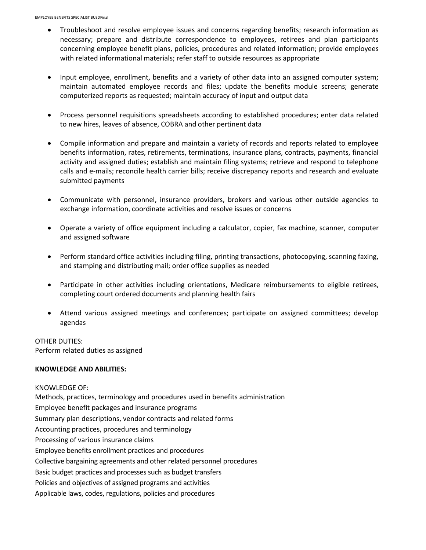- Troubleshoot and resolve employee issues and concerns regarding benefits; research information as necessary; prepare and distribute correspondence to employees, retirees and plan participants concerning employee benefit plans, policies, procedures and related information; provide employees with related informational materials; refer staff to outside resources as appropriate
- Input employee, enrollment, benefits and a variety of other data into an assigned computer system; maintain automated employee records and files; update the benefits module screens; generate computerized reports as requested; maintain accuracy of input and output data
- Process personnel requisitions spreadsheets according to established procedures; enter data related to new hires, leaves of absence, COBRA and other pertinent data
- Compile information and prepare and maintain a variety of records and reports related to employee benefits information, rates, retirements, terminations, insurance plans, contracts, payments, financial activity and assigned duties; establish and maintain filing systems; retrieve and respond to telephone calls and e-mails; reconcile health carrier bills; receive discrepancy reports and research and evaluate submitted payments
- Communicate with personnel, insurance providers, brokers and various other outside agencies to exchange information, coordinate activities and resolve issues or concerns
- Operate a variety of office equipment including a calculator, copier, fax machine, scanner, computer and assigned software
- Perform standard office activities including filing, printing transactions, photocopying, scanning faxing, and stamping and distributing mail; order office supplies as needed
- Participate in other activities including orientations, Medicare reimbursements to eligible retirees, completing court ordered documents and planning health fairs
- Attend various assigned meetings and conferences; participate on assigned committees; develop agendas

### OTHER DUTIES:

Perform related duties as assigned

#### **KNOWLEDGE AND ABILITIES:**

KNOWLEDGE OF: Methods, practices, terminology and procedures used in benefits administration Employee benefit packages and insurance programs Summary plan descriptions, vendor contracts and related forms Accounting practices, procedures and terminology Processing of various insurance claims Employee benefits enrollment practices and procedures Collective bargaining agreements and other related personnel procedures Basic budget practices and processes such as budget transfers Policies and objectives of assigned programs and activities Applicable laws, codes, regulations, policies and procedures